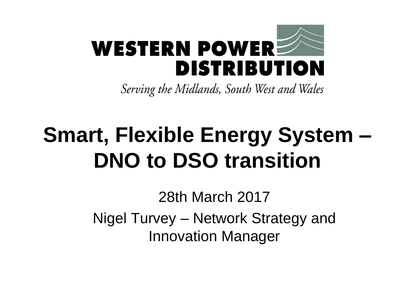

Serving the Midlands, South West and Wales

# **Smart, Flexible Energy System – DNO to DSO transition**

28th March 2017 Nigel Turvey – Network Strategy and Innovation Manager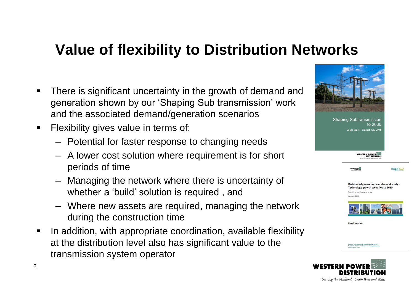#### **Value of flexibility to Distribution Networks**

- There is significant uncertainty in the growth of demand and generation shown by our 'Shaping Sub transmission' work and the associated demand/generation scenarios
- **Filexibility gives value in terms of:** 
	- Potential for faster response to changing needs
	- A lower cost solution where requirement is for short periods of time
	- Managing the network where there is uncertainty of whether a 'build' solution is required , and
	- Where new assets are required, managing the network during the construction time
- In addition, with appropriate coordination, available flexibility at the distribution level also has significant value to the transmission system operator



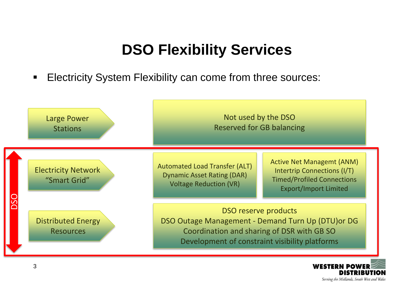### **DSO Flexibility Services**

**Electricity System Flexibility can come from three sources:** 



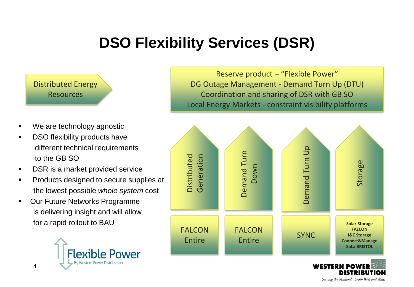## **DSO Flexibility Services (DSR)**

Distributed Energy Resources

- We are technology agnostic
- **-** DSO flexibility products have different technical requirements to the GB SO
- **DSR** is a market provided service
- **Products designed to secure supplies at** the lowest possible *whole system* cost
- **Our Future Networks Programme** is delivering insight and will allow for a rapid rollout to BAU



Reserve product – "Flexible Power" DG Outage Management - Demand Turn Up (DTU) Coordination and sharing of DSR with GB SO Local Energy Markets - constraint visibility platforms



Serving the Midlands, South West and Wales

4